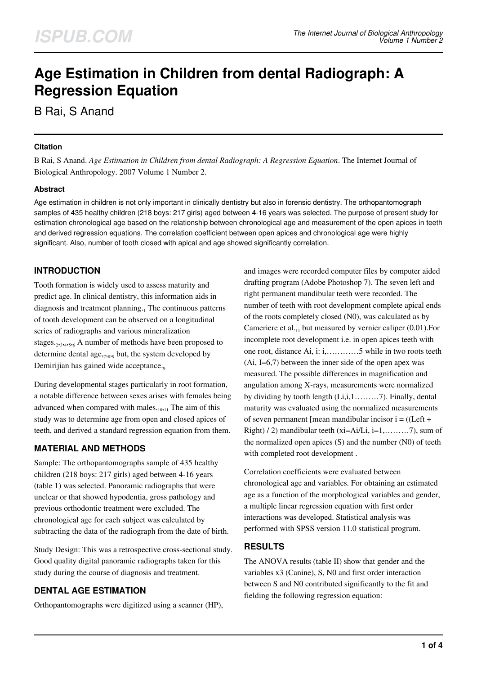# **Age Estimation in Children from dental Radiograph: A Regression Equation**

B Rai, S Anand

#### **Citation**

B Rai, S Anand. *Age Estimation in Children from dental Radiograph: A Regression Equation*. The Internet Journal of Biological Anthropology. 2007 Volume 1 Number 2.

#### **Abstract**

Age estimation in children is not only important in clinically dentistry but also in forensic dentistry. The orthopantomograph samples of 435 healthy children (218 boys: 217 girls) aged between 4-16 years was selected. The purpose of present study for estimation chronological age based on the relationship between chronological age and measurement of the open apices in teeth and derived regression equations. The correlation coefficient between open apices and chronological age were highly significant. Also, number of tooth closed with apical and age showed significantly correlation.

## **INTRODUCTION**

Tooth formation is widely used to assess maturity and predict age. In clinical dentistry, this information aids in diagnosis and treatment planning.<sub>1</sub> The continuous patterns of tooth development can be observed on a longitudinal series of radiographs and various mineralization stages.<sub>2,3,4,5,6</sub> A number of methods have been proposed to determine dental age, 7,8,9 but, the system developed by Demirijian has gained wide acceptance.

During developmental stages particularly in root formation, a notable difference between sexes arises with females being advanced when compared with males. $_{10,11}$  The aim of this study was to determine age from open and closed apices of teeth, and derived a standard regression equation from them.

## **MATERIAL AND METHODS**

Sample: The orthopantomographs sample of 435 healthy children (218 boys: 217 girls) aged between 4-16 years (table 1) was selected. Panoramic radiographs that were unclear or that showed hypodentia, gross pathology and previous orthodontic treatment were excluded. The chronological age for each subject was calculated by subtracting the data of the radiograph from the date of birth.

Study Design: This was a retrospective cross-sectional study. Good quality digital panoramic radiographs taken for this study during the course of diagnosis and treatment.

## **DENTAL AGE ESTIMATION**

Orthopantomographs were digitized using a scanner (HP),

and images were recorded computer files by computer aided drafting program (Adobe Photoshop 7). The seven left and right permanent mandibular teeth were recorded. The number of teeth with root development complete apical ends of the roots completely closed (N0), was calculated as by Cameriere et al. $_{11}$  but measured by vernier caliper (0.01). For incomplete root development i.e. in open apices teeth with one root, distance Ai, i: i,…………5 while in two roots teeth  $(Ai, I=6,7)$  between the inner side of the open apex was measured. The possible differences in magnification and angulation among X-rays, measurements were normalized by dividing by tooth length (Li,i,1………7). Finally, dental maturity was evaluated using the normalized measurements of seven permanent [mean mandibular incisor  $i = ((Left +$ Right)  $/ 2$ ) mandibular teeth (xi=Ai/Li, i=1,..........7), sum of the normalized open apices (S) and the number (N0) of teeth with completed root development .

Correlation coefficients were evaluated between chronological age and variables. For obtaining an estimated age as a function of the morphological variables and gender, a multiple linear regression equation with first order interactions was developed. Statistical analysis was performed with SPSS version 11.0 statistical program.

#### **RESULTS**

The ANOVA results (table II) show that gender and the variables x3 (Canine), S, N0 and first order interaction between S and N0 contributed significantly to the fit and fielding the following regression equation: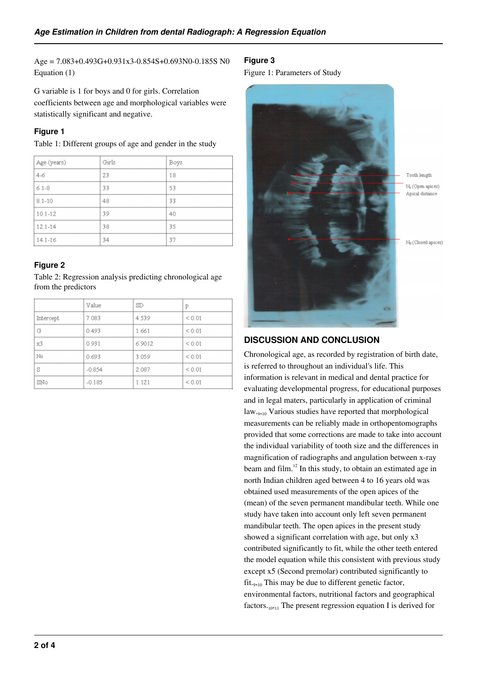Age = 7.083+0.493G+0.931x3-0.854S+0.693N0-0.185S N0 Equation (1)

G variable is 1 for boys and 0 for girls. Correlation coefficients between age and morphological variables were statistically significant and negative.

## **Figure 1**

Table 1: Different groups of age and gender in the study

| Age (years) | Girls | Boys |
|-------------|-------|------|
| $4 - 6$     | 23    | 18   |
| $6.1 - 8$   | 33    | 53   |
| $8.1 - 10$  | 48    | 33   |
| $10.1 - 12$ | 39    | 40   |
| $12.1 - 14$ | 38    | 35   |
| $14.1 - 16$ | 34    | 37   |

## **Figure 2**

Table 2: Regression analysis predicting chronological age from the predictors

|           | Value    | SD     | p          |
|-----------|----------|--------|------------|
| Intercept | 7.083    | 4.539  | ${}< 0.01$ |
| G         | 0.493    | 1.661  | < 0.01     |
| x3        | 0.931    | 6.9012 | ${}< 0.01$ |
| No        | 0.693    | 3.059  | < 0.01     |
| S         | $-0.854$ | 2.087  | < 0.01     |
| SNo       | $-0.185$ | 1.121  | < 0.01     |

#### **Figure 3**

Figure 1: Parameters of Study



# **DISCUSSION AND CONCLUSION**

Chronological age, as recorded by registration of birth date, is referred to throughout an individual's life. This information is relevant in medical and dental practice for evaluating developmental progress, for educational purposes and in legal maters, particularly in application of criminal law.<sub>9,10</sub> Various studies have reported that morphological measurements can be reliably made in orthopentomographs provided that some corrections are made to take into account the individual variability of tooth size and the differences in magnification of radiographs and angulation between x-ray beam and film.<sup>12</sup> In this study, to obtain an estimated age in north Indian children aged between 4 to 16 years old was obtained used measurements of the open apices of the (mean) of the seven permanent mandibular teeth. While one study have taken into account only left seven permanent mandibular teeth. The open apices in the present study showed a significant correlation with age, but only x3 contributed significantly to fit, while the other teeth entered the model equation while this consistent with previous study except x5 (Second premolar) contributed significantly to fit.<sub>9,10</sub> This may be due to different genetic factor, environmental factors, nutritional factors and geographical factors.<sub>10,11</sub> The present regression equation I is derived for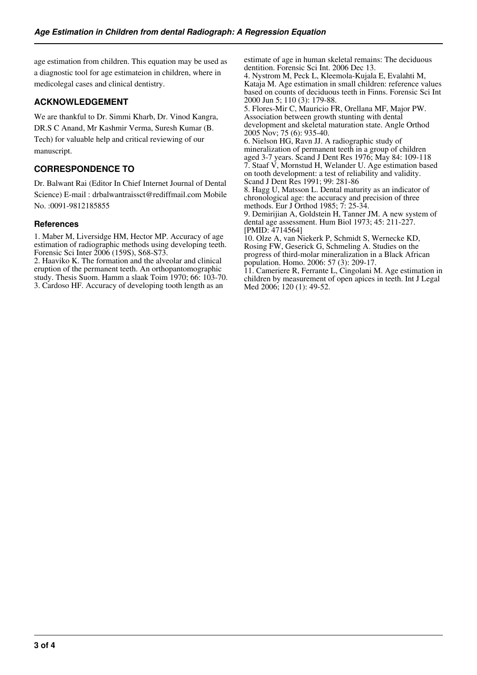age estimation from children. This equation may be used as a diagnostic tool for age estimateion in children, where in medicolegal cases and clinical dentistry.

## **ACKNOWLEDGEMENT**

We are thankful to Dr. Simmi Kharb, Dr. Vinod Kangra, DR.S C Anand, Mr Kashmir Verma, Suresh Kumar (B. Tech) for valuable help and critical reviewing of our manuscript.

## **CORRESPONDENCE TO**

Dr. Balwant Rai (Editor In Chief Internet Journal of Dental Science) E-mail : drbalwantraissct@rediffmail.com Mobile No. :0091-9812185855

#### **References**

1. Maber M, Liversidge HM, Hector MP. Accuracy of age estimation of radiographic methods using developing teeth. Forensic Sci Inter 2006 (159S), S68-S73.

2. Haaviko K. The formation and the alveolar and clinical eruption of the permanent teeth. An orthopantomographic study. Thesis Suom. Hamm a slaak Toim 1970; 66: 103-70. 3. Cardoso HF. Accuracy of developing tooth length as an

estimate of age in human skeletal remains: The deciduous dentition. Forensic Sci Int. 2006 Dec 13.

4. Nystrom M, Peck L, Kleemola-Kujala E, Evalahti M, Kataja M. Age estimation in small children: reference values based on counts of deciduous teeth in Finns. Forensic Sci Int 2000 Jun 5; 110 (3): 179-88.

5. Flores-Mir C, Mauricio FR, Orellana MF, Major PW. Association between growth stunting with dental development and skeletal maturation state. Angle Orthod 2005 Nov; 75 (6): 935-40.

6. Nielson HG, Ravn JJ. A radiographic study of mineralization of permanent teeth in a group of children aged 3-7 years. Scand J Dent Res 1976; May 84: 109-118 7. Staaf V, Mornstud H, Welander U. Age estimation based on tooth development: a test of reliability and validity. Scand J Dent Res 1991; 99: 281-86

8. Hagg U, Matsson L. Dental maturity as an indicator of chronological age: the accuracy and precision of three methods. Eur J Orthod 1985; 7: 25-34.

9. Demirijian A, Goldstein H, Tanner JM. A new system of dental age assessment. Hum Biol 1973; 45: 211-227. [PMID: 4714564]

10. Olze A, van Niekerk P, Schmidt S, Wernecke KD, Rosing FW, Geserick G, Schmeling A. Studies on the progress of third-molar mineralization in a Black African population. Homo. 2006: 57 (3): 209-17.

11. Cameriere R, Ferrante L, Cingolani M. Age estimation in children by measurement of open apices in teeth. Int J Legal Med 2006; 120 (1): 49-52.